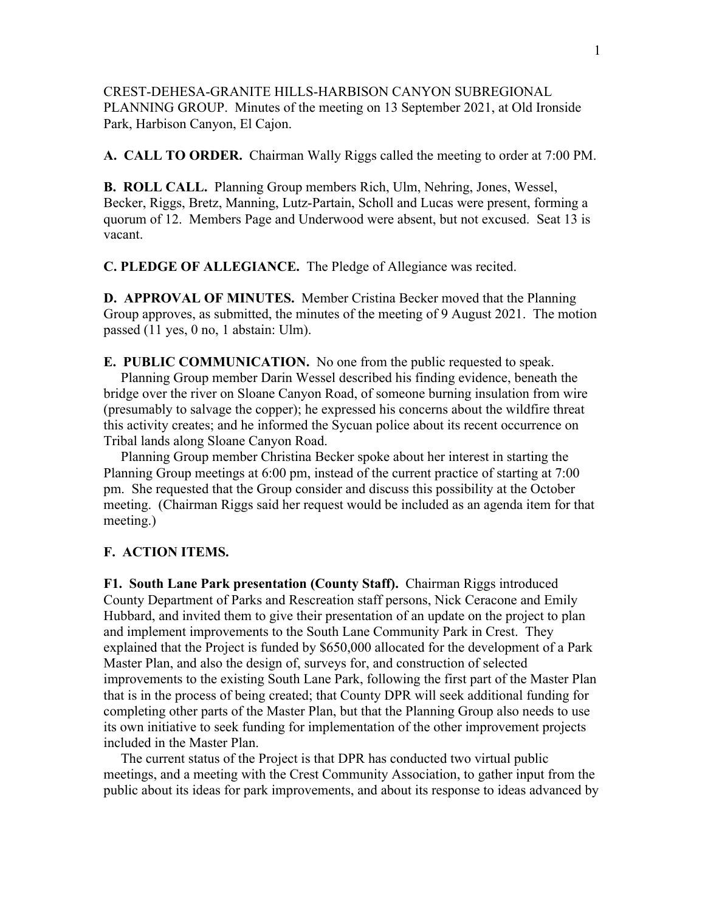CREST-DEHESA-GRANITE HILLS-HARBISON CANYON SUBREGIONAL PLANNING GROUP. Minutes of the meeting on 13 September 2021, at Old Ironside Park, Harbison Canyon, El Cajon.

**A. CALL TO ORDER.** Chairman Wally Riggs called the meeting to order at 7:00 PM.

**B. ROLL CALL.** Planning Group members Rich, Ulm, Nehring, Jones, Wessel, Becker, Riggs, Bretz, Manning, Lutz-Partain, Scholl and Lucas were present, forming a quorum of 12. Members Page and Underwood were absent, but not excused. Seat 13 is vacant.

**C. PLEDGE OF ALLEGIANCE.** The Pledge of Allegiance was recited.

**D. APPROVAL OF MINUTES.** Member Cristina Becker moved that the Planning Group approves, as submitted, the minutes of the meeting of 9 August 2021. The motion passed (11 yes, 0 no, 1 abstain: Ulm).

**E. PUBLIC COMMUNICATION.** No one from the public requested to speak. Planning Group member Darin Wessel described his finding evidence, beneath the bridge over the river on Sloane Canyon Road, of someone burning insulation from wire (presumably to salvage the copper); he expressed his concerns about the wildfire threat this activity creates; and he informed the Sycuan police about its recent occurrence on Tribal lands along Sloane Canyon Road.

 Planning Group member Christina Becker spoke about her interest in starting the Planning Group meetings at 6:00 pm, instead of the current practice of starting at 7:00 pm. She requested that the Group consider and discuss this possibility at the October meeting. (Chairman Riggs said her request would be included as an agenda item for that meeting.)

## **F. ACTION ITEMS.**

**F1. South Lane Park presentation (County Staff).** Chairman Riggs introduced County Department of Parks and Rescreation staff persons, Nick Ceracone and Emily Hubbard, and invited them to give their presentation of an update on the project to plan and implement improvements to the South Lane Community Park in Crest. They explained that the Project is funded by \$650,000 allocated for the development of a Park Master Plan, and also the design of, surveys for, and construction of selected improvements to the existing South Lane Park, following the first part of the Master Plan that is in the process of being created; that County DPR will seek additional funding for completing other parts of the Master Plan, but that the Planning Group also needs to use its own initiative to seek funding for implementation of the other improvement projects included in the Master Plan.

 The current status of the Project is that DPR has conducted two virtual public meetings, and a meeting with the Crest Community Association, to gather input from the public about its ideas for park improvements, and about its response to ideas advanced by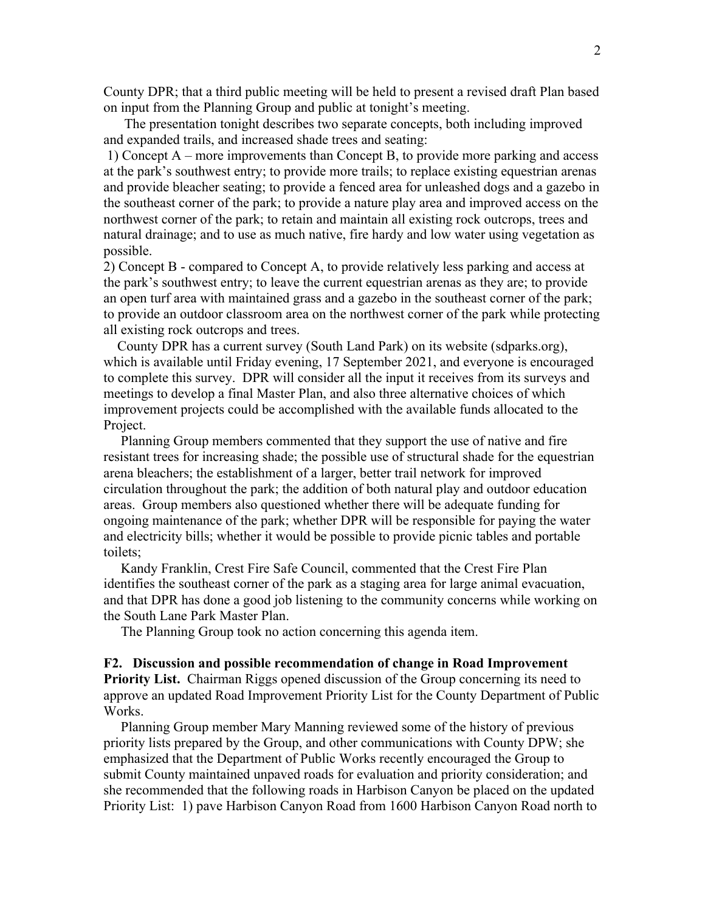County DPR; that a third public meeting will be held to present a revised draft Plan based on input from the Planning Group and public at tonight's meeting.

 The presentation tonight describes two separate concepts, both including improved and expanded trails, and increased shade trees and seating:

1) Concept A – more improvements than Concept B, to provide more parking and access at the park's southwest entry; to provide more trails; to replace existing equestrian arenas and provide bleacher seating; to provide a fenced area for unleashed dogs and a gazebo in the southeast corner of the park; to provide a nature play area and improved access on the northwest corner of the park; to retain and maintain all existing rock outcrops, trees and natural drainage; and to use as much native, fire hardy and low water using vegetation as possible.

2) Concept B - compared to Concept A, to provide relatively less parking and access at the park's southwest entry; to leave the current equestrian arenas as they are; to provide an open turf area with maintained grass and a gazebo in the southeast corner of the park; to provide an outdoor classroom area on the northwest corner of the park while protecting all existing rock outcrops and trees.

 County DPR has a current survey (South Land Park) on its website (sdparks.org), which is available until Friday evening, 17 September 2021, and everyone is encouraged to complete this survey. DPR will consider all the input it receives from its surveys and meetings to develop a final Master Plan, and also three alternative choices of which improvement projects could be accomplished with the available funds allocated to the Project.

 Planning Group members commented that they support the use of native and fire resistant trees for increasing shade; the possible use of structural shade for the equestrian arena bleachers; the establishment of a larger, better trail network for improved circulation throughout the park; the addition of both natural play and outdoor education areas. Group members also questioned whether there will be adequate funding for ongoing maintenance of the park; whether DPR will be responsible for paying the water and electricity bills; whether it would be possible to provide picnic tables and portable toilets;

 Kandy Franklin, Crest Fire Safe Council, commented that the Crest Fire Plan identifies the southeast corner of the park as a staging area for large animal evacuation, and that DPR has done a good job listening to the community concerns while working on the South Lane Park Master Plan.

The Planning Group took no action concerning this agenda item.

## **F2. Discussion and possible recommendation of change in Road Improvement**

**Priority List.** Chairman Riggs opened discussion of the Group concerning its need to approve an updated Road Improvement Priority List for the County Department of Public Works.

 Planning Group member Mary Manning reviewed some of the history of previous priority lists prepared by the Group, and other communications with County DPW; she emphasized that the Department of Public Works recently encouraged the Group to submit County maintained unpaved roads for evaluation and priority consideration; and she recommended that the following roads in Harbison Canyon be placed on the updated Priority List: 1) pave Harbison Canyon Road from 1600 Harbison Canyon Road north to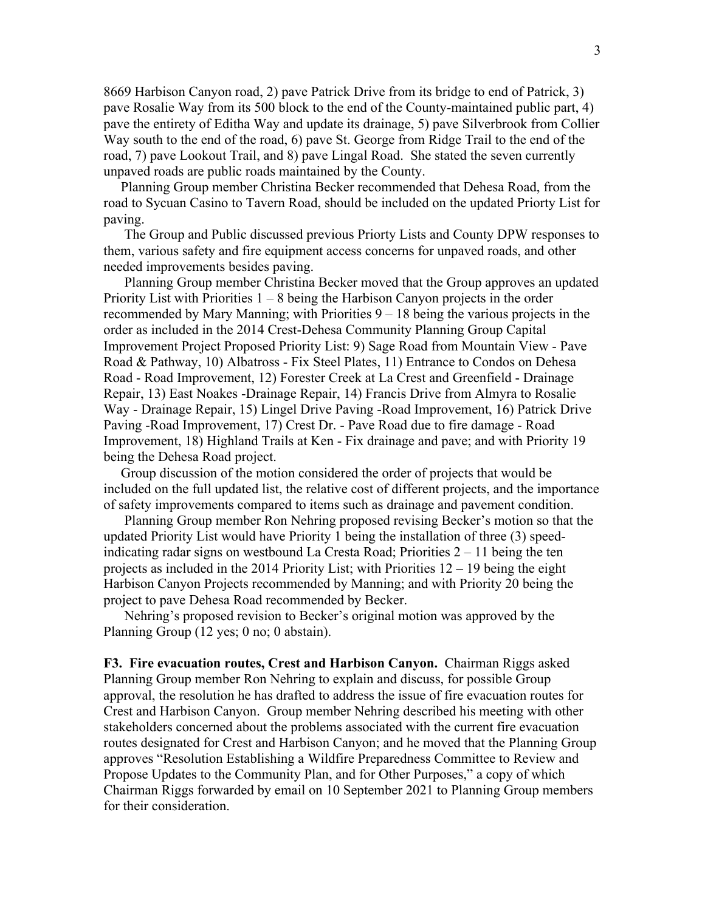8669 Harbison Canyon road, 2) pave Patrick Drive from its bridge to end of Patrick, 3) pave Rosalie Way from its 500 block to the end of the County-maintained public part, 4) pave the entirety of Editha Way and update its drainage, 5) pave Silverbrook from Collier Way south to the end of the road, 6) pave St. George from Ridge Trail to the end of the road, 7) pave Lookout Trail, and 8) pave Lingal Road. She stated the seven currently unpaved roads are public roads maintained by the County.

 Planning Group member Christina Becker recommended that Dehesa Road, from the road to Sycuan Casino to Tavern Road, should be included on the updated Priorty List for paving.

 The Group and Public discussed previous Priorty Lists and County DPW responses to them, various safety and fire equipment access concerns for unpaved roads, and other needed improvements besides paving.

 Planning Group member Christina Becker moved that the Group approves an updated Priority List with Priorities  $1 - 8$  being the Harbison Canyon projects in the order recommended by Mary Manning; with Priorities 9 – 18 being the various projects in the order as included in the 2014 Crest-Dehesa Community Planning Group Capital Improvement Project Proposed Priority List: 9) Sage Road from Mountain View - Pave Road & Pathway, 10) Albatross - Fix Steel Plates, 11) Entrance to Condos on Dehesa Road - Road Improvement, 12) Forester Creek at La Crest and Greenfield - Drainage Repair, 13) East Noakes -Drainage Repair, 14) Francis Drive from Almyra to Rosalie Way - Drainage Repair, 15) Lingel Drive Paving -Road Improvement, 16) Patrick Drive Paving -Road Improvement, 17) Crest Dr. - Pave Road due to fire damage - Road Improvement, 18) Highland Trails at Ken - Fix drainage and pave; and with Priority 19 being the Dehesa Road project.

 Group discussion of the motion considered the order of projects that would be included on the full updated list, the relative cost of different projects, and the importance of safety improvements compared to items such as drainage and pavement condition.

 Planning Group member Ron Nehring proposed revising Becker's motion so that the updated Priority List would have Priority 1 being the installation of three (3) speedindicating radar signs on westbound La Cresta Road; Priorities 2 – 11 being the ten projects as included in the 2014 Priority List; with Priorities 12 – 19 being the eight Harbison Canyon Projects recommended by Manning; and with Priority 20 being the project to pave Dehesa Road recommended by Becker.

 Nehring's proposed revision to Becker's original motion was approved by the Planning Group (12 yes; 0 no; 0 abstain).

**F3. Fire evacuation routes, Crest and Harbison Canyon.** Chairman Riggs asked Planning Group member Ron Nehring to explain and discuss, for possible Group approval, the resolution he has drafted to address the issue of fire evacuation routes for Crest and Harbison Canyon. Group member Nehring described his meeting with other stakeholders concerned about the problems associated with the current fire evacuation routes designated for Crest and Harbison Canyon; and he moved that the Planning Group approves "Resolution Establishing a Wildfire Preparedness Committee to Review and Propose Updates to the Community Plan, and for Other Purposes," a copy of which Chairman Riggs forwarded by email on 10 September 2021 to Planning Group members for their consideration.